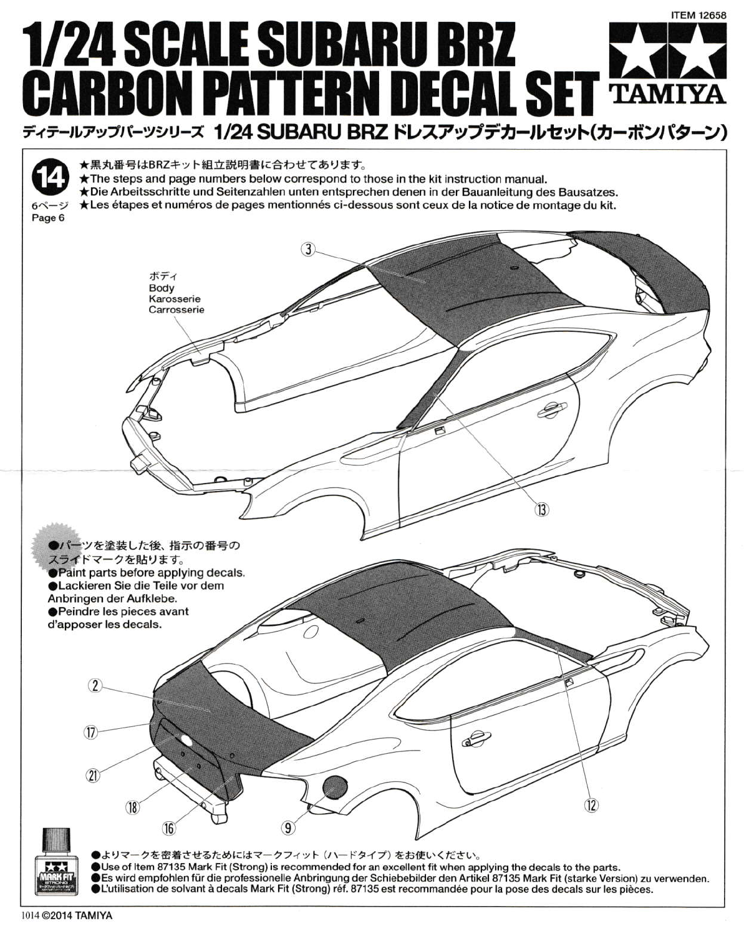# **ITEM 12658 1/24 SCALE SUBARU BRZ CARBON PATTERN DECAL SET TAMIX** ディテールアップバーツシリーズ 1/24 SUBARU BRZ ドレスアップデカールセット(カーボンパターン)